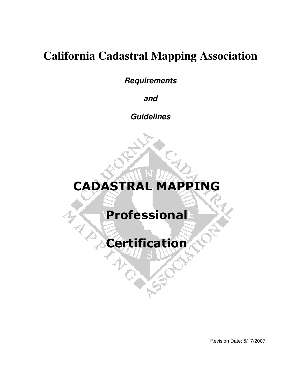# **California Cadastral Mapping Association**

**Requirements** 

**and** 

**Guidelines** 

# CADASTRAL MAPPING

# Professional

Certification

Revision Date: 5/17/2007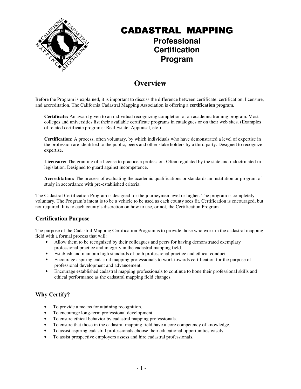

### CADASTRAL MAPPING **Professional**

### **Certification Program**

### **Overview**

Before the Program is explained, it is important to discuss the difference between certificate, certification, licensure, and accreditation. The California Cadastral Mapping Association is offering a **certification** program.

**Certificate:** An award given to an individual recognizing completion of an academic training program. Most colleges and universities list their available certificate programs in catalogues or on their web sites. (Examples of related certificate programs: Real Estate, Appraisal, etc.)

**Certification:** A process, often voluntary, by which individuals who have demonstrated a level of expertise in the profession are identified to the public, peers and other stake holders by a third party. Designed to recognize expertise.

**Licensure:** The granting of a license to practice a profession. Often regulated by the state and indoctrinated in legislation. Designed to guard against incompetence.

**Accreditation:** The process of evaluating the academic qualifications or standards an institution or program of study in accordance with pre-established criteria.

The Cadastral Certification Program is designed for the journeymen level or higher. The program is completely voluntary. The Program's intent is to be a vehicle to be used as each county sees fit. Certification is encouraged, but not required. It is to each county's discretion on how to use, or not, the Certification Program.

### **Certification Purpose**

The purpose of the Cadastral Mapping Certification Program is to provide those who work in the cadastral mapping field with a formal process that will:

- Allow them to be recognized by their colleagues and peers for having demonstrated exemplary professional practice and integrity in the cadastral mapping field.
- Establish and maintain high standards of both professional practice and ethical conduct.
- Encourage aspiring cadastral mapping professionals to work towards certification for the purpose of professional development and advancement.
- Encourage established cadastral mapping professionals to continue to hone their professional skills and ethical performance as the cadastral mapping field changes.

### **Why Certify?**

- To provide a means for attaining recognition.
- To encourage long-term professional development.
- To ensure ethical behavior by cadastral mapping professionals.
- To ensure that those in the cadastral mapping field have a core competency of knowledge.
- To assist aspiring cadastral professionals choose their educational opportunities wisely.
- To assist prospective employers assess and hire cadastral professionals.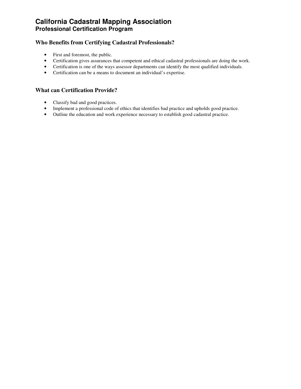### **Who Benefits from Certifying Cadastral Professionals?**

- First and foremost, the public.
- Certification gives assurances that competent and ethical cadastral professionals are doing the work.
- Certification is one of the ways assessor departments can identify the most qualified individuals.
- Certification can be a means to document an individual's expertise.

#### **What can Certification Provide?**

- Classify bad and good practices.
- Implement a professional code of ethics that identifies bad practice and upholds good practice.
- Outline the education and work experience necessary to establish good cadastral practice.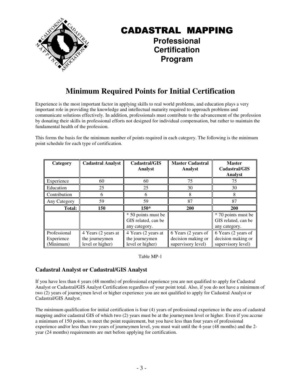

### **Professional Certification Program**

### **Minimum Required Points for Initial Certification**

Experience is the most important factor in applying skills to real world problems, and education plays a very important role in providing the knowledge and intellectual maturity required to approach problems and communicate solutions effectively. In addition, professionals must contribute to the advancement of the profession by donating their skills in professional efforts not designed for individual compensation, but rather to maintain the fundamental health of the profession.

This forms the basis for the minimum number of points required in each category. The following is the minimum point schedule for each type of certification.

| Category                                | <b>Cadastral Analyst</b>                                  | Cadastral/GIS<br>Analyst                                    | <b>Master Cadastral</b><br>Analyst                              | <b>Master</b><br>Cadastral/GIS<br>Analyst                       |
|-----------------------------------------|-----------------------------------------------------------|-------------------------------------------------------------|-----------------------------------------------------------------|-----------------------------------------------------------------|
| Experience                              | 60                                                        | 60                                                          | 75                                                              | 75                                                              |
| Education                               | 25                                                        | 25                                                          | 30                                                              | 30                                                              |
| Contribution                            | 6                                                         | 6                                                           | 8                                                               |                                                                 |
| Any Category                            | 59                                                        | 59                                                          | 87                                                              | 87                                                              |
| <b>Total:</b>                           | 150                                                       | $150*$                                                      | <b>200</b>                                                      | 200                                                             |
|                                         |                                                           | * 50 points must be<br>GIS related, can be<br>any category. |                                                                 | * 70 points must be<br>GIS related, can be<br>any category.     |
| Professional<br>Experience<br>(Minimum) | 4 Years (2 years at<br>the journeymen<br>level or higher) | 4 Years (2 years at<br>the journeymen<br>level or higher)   | 6 Years (2 years of<br>decision making or<br>supervisory level) | 6 Years (2 years of<br>decision making or<br>supervisory level) |

Table MP-1

### **Cadastral Analyst or Cadastral/GIS Analyst**

If you have less than 4 years (48 months) of professional experience you are not qualified to apply for Cadastral Analyst or Cadastral/GIS Analyst Certification regardless of your point total. Also, if you do not have a minimum of two (2) years of journeymen level or higher experience you are not qualified to apply for Cadastral Analyst or Cadastral/GIS Analyst.

The minimum qualification for initial certification is four (4) years of professional experience in the area of cadastral mapping and/or cadastral GIS of which two (2) years must be at the journeymen level or higher. Even if you accrue a minimum of 150 points, to meet the point requirement, but you have less than four years of professional experience and/or less than two years of journeymen level, you must wait until the 4-year (48 months) and the 2 year (24 months) requirements are met before applying for certification.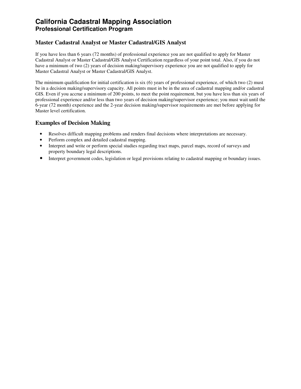#### **Master Cadastral Analyst or Master Cadastral/GIS Analyst**

If you have less than 6 years (72 months) of professional experience you are not qualified to apply for Master Cadastral Analyst or Master Cadastral/GIS Analyst Certification regardless of your point total. Also, if you do not have a minimum of two (2) years of decision making/supervisory experience you are not qualified to apply for Master Cadastral Analyst or Master Cadastral/GIS Analyst.

The minimum qualification for initial certification is six (6) years of professional experience, of which two (2) must be in a decision making/supervisory capacity. All points must in be in the area of cadastral mapping and/or cadastral GIS. Even if you accrue a minimum of 200 points, to meet the point requirement, but you have less than six years of professional experience and/or less than two years of decision making/supervisor experience; you must wait until the 6-year (72 month) experience and the 2-year decision making/supervisor requirements are met before applying for Master level certification.

#### **Examples of Decision Making**

- Resolves difficult mapping problems and renders final decisions where interpretations are necessary.
- Perform complex and detailed cadastral mapping.
- Interpret and write or perform special studies regarding tract maps, parcel maps, record of surveys and property boundary legal descriptions.
- Interpret government codes, legislation or legal provisions relating to cadastral mapping or boundary issues.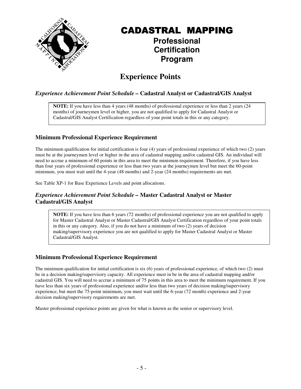

### **Professional Certification Program**

### **Experience Points**

### *Experience Achievement Point Schedule –* **Cadastral Analyst or Cadastral/GIS Analyst**

**NOTE:** If you have less than 4 years (48 months) of professional experience or less than 2 years (24 months) of journeymen level or higher, you are not qualified to apply for Cadastral Analyst or Cadastral/GIS Analyst Certification regardless of your point totals in this or any category.

### **Minimum Professional Experience Requirement**

The minimum qualification for initial certification is four (4) years of professional experience of which two (2) years must be at the journeymen level or higher in the area of cadastral mapping and/or cadastral GIS. An individual will need to accrue a minimum of 60 points in this area to meet the minimum requirement. Therefore, if you have less than four years of professional experience or less than two years at the journeymen level but meet the 60-point minimum, you must wait until the 4-year (48 months) and 2-year (24 months) requirements are met.

See Table XP-1 for Base Experience Levels and point allocations.

#### *Experience Achievement Point Schedule –* **Master Cadastral Analyst or Master Cadastral/GIS Analyst**

**NOTE:** If you have less than 6 years (72 months) of professional experience you are not qualified to apply for Master Cadastral Analyst or Master Cadastral/GIS Analyst Certification regardless of your point totals in this or any category. Also, if you do not have a minimum of two (2) years of decision making/supervisory experience you are not qualified to apply for Master Cadastral Analyst or Master Cadastral/GIS Analyst.

### **Minimum Professional Experience Requirement**

The minimum qualification for initial certification is six (6) years of professional experience, of which two (2) must be in a decision making/supervisory capacity. All experience must in be in the area of cadastral mapping and/or cadastral GIS. You will need to accrue a minimum of 75 points in this area to meet the minimum requirement. If you have less than six years of professional experience and/or less than two years of decision making/supervisory experience, but meet the 75-point minimum, you must wait until the 6-year (72 month) experience and 2-year decision making/supervisory requirements are met.

Master professional experience points are given for what is known as the senior or supervisory level.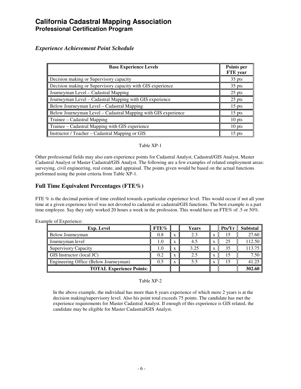#### *Experience Achievement Point Schedule*

| <b>Base Experience Levels</b>                                  | Points per<br><b>FTE</b> year |
|----------------------------------------------------------------|-------------------------------|
| Decision making or Supervisory capacity                        | 35 pts                        |
| Decision making or Supervisory capacity with GIS experience    | $35$ pts                      |
| Journeyman Level - Cadastral Mapping                           | $25$ pts                      |
| Journeyman Level – Cadastral Mapping with GIS experience       | 25 pts                        |
| Below Journeyman Level – Cadastral Mapping                     | $15$ pts                      |
| Below Journeyman Level - Cadastral Mapping with GIS experience | $15$ pts                      |
| Trainee – Cadastral Mapping                                    | 10 pts                        |
| Trainee - Cadastral Mapping with GIS experience                | $10$ pts                      |
| Instructor / Teacher – Cadastral Mapping or GIS                | 15 pts                        |

#### Table XP-1

Other professional fields may also earn experience points for Cadastral Analyst, Cadastral/GIS Analyst, Master Cadastral Analyst or Master Cadastral/GIS Analyst. The following are a few examples of related employment areas: surveying, civil engineering, real estate, and appraisal. The points given would be based on the actual functions performed using the point criteria from Table XP-1.

#### **Full Time Equivalent Percentages (FTE%)**

FTE % is the decimal portion of time credited towards a particular experience level. This would occur if not all your time at a given experience level was not devoted to cadastral or cadastral/GIS functions. The best example is a part time employee. Say they only worked 20 hours a week in the profession. This would have an FTE% of .5 or 50%.

| <b>Exp.</b> Level                     | FTE% |   | Years |                   | Pts/Yr | <b>Subtotal</b> |
|---------------------------------------|------|---|-------|-------------------|--------|-----------------|
| Below Journeyman                      | 0.8  | x | 2.3   | $\mathbf{v}$<br>л |        | 27.60           |
| Journeyman level                      |      | X | 4.5   | л                 | 25     | 112.50          |
| <b>Supervisory Capacity</b>           |      | X | 3.25  | л                 | 35     | 113.75          |
| GIS Instructor (local JC)             | 0.2  | X |       | X                 |        | 7.50            |
| Engineering Office (Below Journeyman) | 0.5  | X | 5.5   | $\mathbf{v}$<br>л |        | 41.25           |
| <b>TOTAL Experience Points:</b>       |      |   |       |                   |        | 302.60          |

Example of Experience:

#### Table XP-2

 In the above example, the individual has more than 6 years experience of which more 2 years is at the decision making/supervisory level. Also his point total exceeds 75 points. The candidate has met the experience requirements for Master Cadastral Analyst. If enough of this experience is GIS related, the candidate may be eligible for Master Cadastral/GIS Analyst.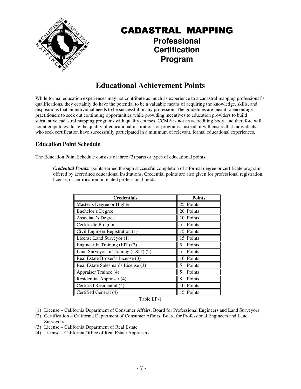

### CADASTRAL MAPPING **Professional**

### **Certification Program**

### **Educational Achievement Points**

While formal education experiences may not contribute as much as experience to a cadastral mapping professional's qualifications, they certainly do have the potential to be a valuable means of acquiring the knowledge, skills, and dispositions that an individual needs to be successful in any profession. The guidelines are meant to encourage practitioners to seek out continuing opportunities while providing incentives to education providers to build substantive cadastral mapping programs with quality courses. CCMA is not an accrediting body, and therefore will not attempt to evaluate the quality of educational institutions or programs. Instead, it will ensure that individuals who seek certification have successfully participated in a minimum of relevant, formal educational experiences.

### **Education Point Schedule**

The Education Point Schedule consists of three (3) parts or types of educational points.

*Credential Points:* points earned through successful completion of a formal degree or certificate program offered by accredited educational institutions. Credential points are also given for professional registration, license, or certification in related professional fields.

| <b>Credentials</b>                   | <b>Points</b>            |
|--------------------------------------|--------------------------|
| Master's Degree or Higher            | 25 Points                |
| Bachelor's Degree                    | 20 Points                |
| Associate's Degree                   | 10 Points                |
| Certificate Program                  | 5 <sup>1</sup><br>Points |
| Civil Engineer Registration (1)      | 15 Points                |
| License Land Surveyor (1)            | 15 Points                |
| Engineer In Training (EIT) (2)       | Points<br>5              |
| Land Surveyor In Training (LSIT) (2) | Points<br>5              |
| Real Estate Broker's License (3)     | 10 Points                |
| Real Estate Salesman's License (3)   | Points<br>5              |
| Appraiser Trainee (4)                | 5<br>Points              |
| Residential Appraiser (4)            | Points<br>8              |
| Certified Residential (4)            | 10 Points                |
| Certified General (4)                | 15 Points                |

Table EP-1

- (1) License California Department of Consumer Affairs, Board for Professional Engineers and Land Surveyors
- (2) Certification California Department of Consumer Affairs, Board for Professional Engineers and Land Surveyors
- (3) License California Department of Real Estate
- (4) License California Office of Real Estate Appraisers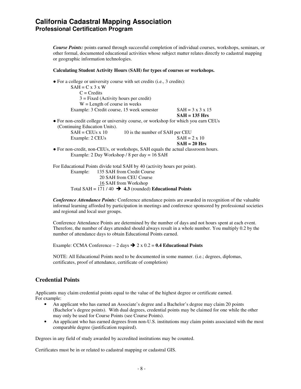*Course Points:* points earned through successful completion of individual courses, workshops, seminars, or other formal, documented educational activities whose subject matter relates directly to cadastral mapping or geographic information technologies.

#### **Calculating Student Activity Hours (SAH) for types of courses or workshops.**

| $\bullet$ For a college or university course with set credits (i.e., 3 credits):   |                                 |                              |
|------------------------------------------------------------------------------------|---------------------------------|------------------------------|
| $SAH = C x 3 x W$                                                                  |                                 |                              |
| $C = C$ redits                                                                     |                                 |                              |
| $3 =$ Fixed (Activity hours per credit)                                            |                                 |                              |
| $W =$ Length of course in weeks                                                    |                                 |                              |
| Example: 3 Credit course, 15 week semester                                         |                                 | $SAH = 3 \times 3 \times 15$ |
|                                                                                    |                                 | $SAH = 135$ Hrs              |
| • For non-credit college or university course, or workshop for which you earn CEUs |                                 |                              |
| (Continuing Education Units).                                                      |                                 |                              |
| $SAH = CEUs x 10$                                                                  | 10 is the number of SAH per CEU |                              |
| Example: 2 CEUs                                                                    |                                 | $SAH = 2 \times 10$          |
|                                                                                    |                                 | $SAH = 20$ Hrs               |
| • For non-credit, non-CEUs, or workshops, SAH equals the actual classroom hours.   |                                 |                              |
| Example: 2 Day Workshop / 8 per day = $16$ SAH                                     |                                 |                              |
|                                                                                    |                                 |                              |

 For Educational Points divide total SAH by 40 (activity hours per point). Example: 135 SAH from Credit Course 20 SAH from CEU Course 16 SAH from Workshop Total SAH =  $171 / 40$   $\rightarrow$  4.3 (rounded) **Educational Points** 

*Conference Attendance Points:* Conference attendance points are awarded in recognition of the valuable informal learning afforded by participation in meetings and conference sponsored by professional societies and regional and local user groups.

 Conference Attendance Points are determined by the number of days and not hours spent at each event. Therefore, the number of days attended should always result in a whole number. You multiply 0.2 by the number of attendance days to obtain Educational Points earned.

Example: CCMA Conference  $-2$  days  $\rightarrow 2 \times 0.2 = 0.4$  Educational Points

 NOTE: All Educational Points need to be documented in some manner. (i.e.; degrees, diplomas, certificates, proof of attendance, certificate of completion)

#### **Credential Points**

Applicants may claim credential points equal to the value of the highest degree or certificate earned. For example:

- An applicant who has earned an Associate's degree and a Bachelor's degree may claim 20 points (Bachelor's degree points). With dual degrees, credential points may be claimed for one while the other may only be used for Course Points (see Course Points).
- An applicant who has earned degrees from non-U.S. institutions may claim points associated with the most comparable degree (justification required).

Degrees in any field of study awarded by accredited institutions may be counted.

Certificates must be in or related to cadastral mapping or cadastral GIS.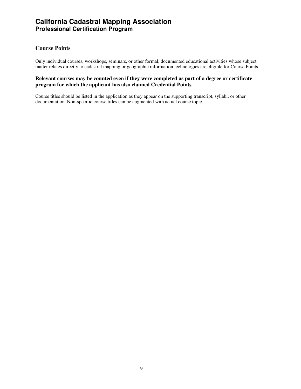### **Course Points**

Only individual courses, workshops, seminars, or other formal, documented educational activities whose subject matter relates directly to cadastral mapping or geographic information technologies are eligible for Course Points.

#### **Relevant courses may be counted even if they were completed as part of a degree or certificate program for which the applicant has also claimed Credential Points**.

Course titles should be listed in the application as they appear on the supporting transcript, syllabi, or other documentation. Non-specific course titles can be augmented with actual course topic.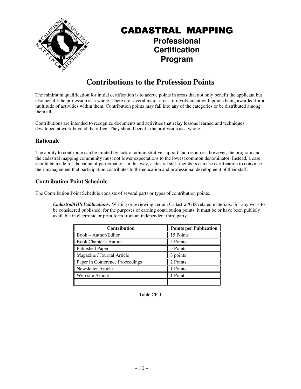

### CADASTRAL MAPPING **Professional Certification**

**Program** 

### **Contributions to the Profession Points**

The minimum qualification for initial certification is to accrue points in areas that not only benefit the applicant but also benefit the profession as a whole. There are several major areas of involvement with points being awarded for a multitude of activities within them. Contribution points may fall into any of the categories or be distributed among them all.

Contributions are intended to recognize documents and activities that relay lessons learned and techniques developed at work beyond the office. They should benefit the profession as a whole.

#### **Rationale**

The ability to contribute can be limited by lack of administrative support and resources; however, the program and the cadastral mapping community must not lower expectations to the lowest common denominator. Instead, a case should be made for the value of participation. In this way, cadastral staff members can use certification to convince their management that participation contributes to the education and professional development of their staff.

#### **Contribution Point Schedule**

The Contribution Point Schedule consists of several parts or types of contribution points.

*Cadastral/GIS Publications:* Writing or reviewing certain Cadastral/GIS related materials. For any work to be considered published, for the purposes of earning contribution points, it must be or have been publicly available in electronic or print form from an independent third party.

| <b>Contribution</b>             | <b>Points per Publication</b> |
|---------------------------------|-------------------------------|
| Book – Author/Editor            | 15 Points                     |
| Book Chapter - Author           | 5 Points                      |
| <b>Published Paper</b>          | 5 Points                      |
| Magazine / Journal Article      | 3 points                      |
| Paper in Conference Proceedings | 2 Points                      |
| Newsletter Article              | 1 Points                      |
| Web site Article                | 1 Point                       |
|                                 |                               |

Table CP-1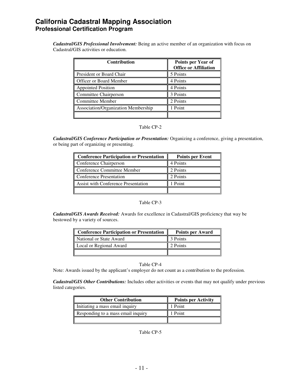*Cadastral/GIS Professional Involvement:* Being an active member of an organization with focus on Cadastral/GIS activities or education.

| <b>Contribution</b>                 | Points per Year of<br><b>Office or Affiliation</b> |
|-------------------------------------|----------------------------------------------------|
| President or Board Chair            | 5 Points                                           |
| Officer or Board Member             | 4 Points                                           |
| Appointed Position                  | 4 Points                                           |
| Committee Chairperson               | 3 Points                                           |
| <b>Committee Member</b>             | 2 Points                                           |
| Association/Organization Membership | 1 Point                                            |
|                                     |                                                    |

#### Table CP-2

*Cadastral/GIS Conference Participation or Presentation:* Organizing a conference, giving a presentation, or being part of organizing or presenting.

| <b>Conference Participation or Presentation</b> | <b>Points per Event</b> |
|-------------------------------------------------|-------------------------|
| Conference Chairperson                          | 4 Points                |
| Conference Committee Member                     | 2 Points                |
| <b>Conference Presentation</b>                  | 2 Points                |
| Assist with Conference Presentation             | 1 Point                 |
|                                                 |                         |

#### Table CP-3

 *Cadastral/GIS Awards Received:* Awards for excellence in Cadastral/GIS proficiency that way be bestowed by a variety of sources.

| <b>Conference Participation or Presentation</b> | <b>Points per Award</b> |
|-------------------------------------------------|-------------------------|
| I National or State Award                       | 3 Points                |
| Local or Regional Award                         | 2 Points                |
|                                                 |                         |

#### Table CP-4

Note: Awards issued by the applicant's employer do not count as a contribution to the profession.

 *Cadastral/GIS Other Contributions:* Includes other activities or events that may not qualify under previous listed categories.

| <b>Other Contribution</b>          | <b>Points per Activity</b> |
|------------------------------------|----------------------------|
| Initiating a mass email inquiry    | 1 Point                    |
| Responding to a mass email inquiry | 1 Point                    |
|                                    |                            |

Table CP-5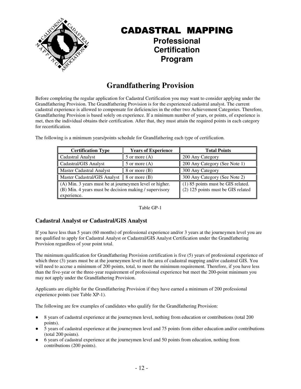

### **Professional Certification Program**

### **Grandfathering Provision**

Before completing the regular application for Cadastral Certification you may want to consider applying under the Grandfathering Provision. The Grandfathering Provision is for the experienced cadastral analyst. The current cadastral experience is allowed to compensate for deficiencies in the other two Achievement Categories. Therefore, Grandfathering Provision is based solely on experience. If a minimum number of years, or points, of experience is met, then the individual obtains their certification. After that, they must attain the required points in each category for recertification.

The following is a minimum years/points schedule for Grandfathering each type of certification.

| <b>Certification Type</b>                                                                                         | <b>Years of Experience</b>                                               | <b>Total Points</b>           |  |
|-------------------------------------------------------------------------------------------------------------------|--------------------------------------------------------------------------|-------------------------------|--|
| <b>Cadastral Analyst</b>                                                                                          | 5 or more $(A)$                                                          | 200 Any Category              |  |
| Cadastral/GIS Analyst                                                                                             | $5$ or more $(A)$                                                        | 200 Any Category (See Note 1) |  |
| <b>Master Cadastral Analyst</b>                                                                                   | 8 or more (B)                                                            | 300 Any Category              |  |
| Master Cadastral/GIS Analyst $\ $ 8 or more (B)                                                                   |                                                                          | 300 Any Category (See Note 2) |  |
| (A) Min. 3 years must be at journeymen level or higher.<br>(B) Min. 4 years must be decision making / supervisory | (1) 85 points must be GIS related.<br>(2) 125 points must be GIS related |                               |  |
| experience.                                                                                                       |                                                                          |                               |  |

Table GP-1

### **Cadastral Analyst or Cadastral/GIS Analyst**

If you have less than 5 years (60 months) of professional experience and/or 3 years at the journeymen level you are not qualified to apply for Cadastral Analyst or Cadastral/GIS Analyst Certification under the Grandfathering Provision regardless of your point total.

The minimum qualification for Grandfathering Provision certification is five (5) years of professional experience of which three (3) years must be at the journeymen level in the area of cadastral mapping and/or cadastral GIS. You will need to accrue a minimum of 200 points, total, to meet the minimum requirement. Therefore, if you have less than the five-year or the three-year requirement of professional experience but meet the 200-point minimum you may not apply under the Grandfathering Provision.

Applicants are eligible for the Grandfathering Provision if they have earned a minimum of 200 professional experience points (see Table XP-1).

The following are few examples of candidates who qualify for the Grandfathering Provision:

- 8 years of cadastral experience at the journeymen level, nothing from education or contributions (total 200 points).
- 5 years of cadastral experience at the journeymen level and 75 points from either education and/or contributions (total 200 points).
- 6 years of cadastral experience at the journeymen level and 50 points from education, nothing from contributions (200 points).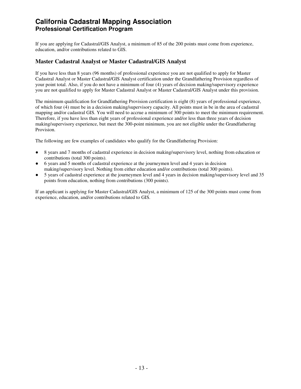If you are applying for Cadastral/GIS Analyst, a minimum of 85 of the 200 points must come from experience, education, and/or contributions related to GIS.

#### **Master Cadastral Analyst or Master Cadastral/GIS Analyst**

If you have less than 8 years (96 months) of professional experience you are not qualified to apply for Master Cadastral Analyst or Master Cadastral/GIS Analyst certification under the Grandfathering Provision regardless of your point total. Also, if you do not have a minimum of four (4) years of decision making/supervisory experience you are not qualified to apply for Master Cadastral Analyst or Master Cadastral/GIS Analyst under this provision.

The minimum qualification for Grandfathering Provision certification is eight (8) years of professional experience, of which four (4) must be in a decision making/supervisory capacity. All points must in be in the area of cadastral mapping and/or cadastral GIS. You will need to accrue a minimum of 300 points to meet the minimum requirement. Therefore, if you have less than eight years of professional experience and/or less than three years of decision making/supervisory experience, but meet the 300-point minimum, you are not eligible under the Grandfathering Provision.

The following are few examples of candidates who qualify for the Grandfathering Provision:

- 8 years and 7 months of cadastral experience in decision making/supervisory level, nothing from education or contributions (total 300 points).
- 6 years and 5 months of cadastral experience at the journeymen level and 4 years in decision making/supervisory level. Nothing from either education and/or contributions (total 300 points).
- 5 years of cadastral experience at the journeymen level and 4 years in decision making/supervisory level and 35 points from education, nothing from contributions (300 points).

If an applicant is applying for Master Cadastral/GIS Analyst, a minimum of 125 of the 300 points must come from experience, education, and/or contributions related to GIS.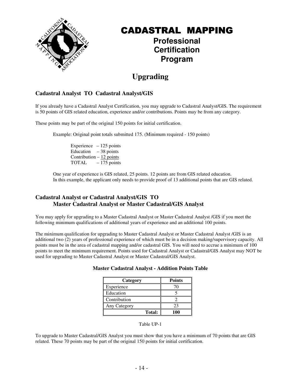

### **Professional Certification Program**

### **Upgrading**

### **Cadastral Analyst TO Cadastral Analyst/GIS**

If you already have a Cadastral Analyst Certification, you may upgrade to Cadastral Analyst/GIS. The requirement is 50 points of GIS related education, experience and/or contributions. Points may be from any category.

These points may be part of the original 150 points for initial certification.

Example: Original point totals submitted 175. (Minimum required - 150 points)

Experience  $-125$  points Education  $-38$  points Contribution – 12 points TOTAL – 175 points

One year of experience is GIS related, 25 points. 12 points are from GIS related education. In this example, the applicant only needs to provide proof of 13 additional points that are GIS related.

#### **Cadastral Analyst or Cadastral Analyst/GIS TO Master Cadastral Analyst or Master Cadastral/GIS Analyst**

You may apply for upgrading to a Master Cadastral Analyst or Master Cadastral Analyst /GIS if you meet the following minimum qualifications of additional years of experience and an additional 100 points.

The minimum qualification for upgrading to Master Cadastral Analyst or Master Cadastral Analyst /GIS is an additional two (2) years of professional experience of which must be in a decision making/supervisory capacity. All points must be in the area of cadastral mapping and/or cadastral GIS. You will need to accrue a minimum of 100 points to meet the minimum requirement. Points used for Cadastral Analyst or Cadastral/GIS Analyst may NOT be used for upgrading to Master Cadastral Analyst or Master Cadastral/GIS Analyst.

#### **Master Cadastral Analyst - Addition Points Table**

| Category      | <b>Points</b> |
|---------------|---------------|
| Experience    |               |
| Education     |               |
| Contribution  |               |
| Any Category  | つっ            |
| <b>Total:</b> | 100           |

Table UP-1

To upgrade to Master Cadastral/GIS Analyst you must show that you have a minimum of 70 points that are GIS related. These 70 points may be part of the original 150 points for initial certification.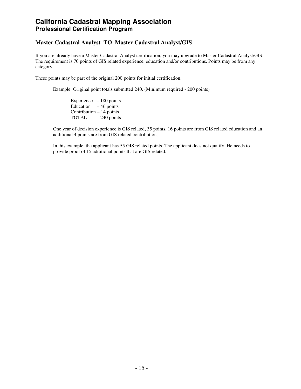#### **Master Cadastral Analyst TO Master Cadastral Analyst/GIS**

If you are already have a Master Cadastral Analyst certification, you may upgrade to Master Cadastral Analyst/GIS. The requirement is 70 points of GIS related experience, education and/or contributions. Points may be from any category.

These points may be part of the original 200 points for initial certification.

Example: Original point totals submitted 240. (Minimum required - 200 points)

Experience – 180 points Education  $-46$  points Contribution  $-14$  points TOTAL – 240 points

One year of decision experience is GIS related, 35 points. 16 points are from GIS related education and an additional 4 points are from GIS related contributions.

 In this example, the applicant has 55 GIS related points. The applicant does not qualify. He needs to provide proof of 15 additional points that are GIS related.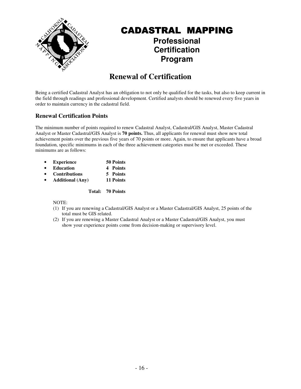

### **Professional Certification Program**

### **Renewal of Certification**

Being a certified Cadastral Analyst has an obligation to not only be qualified for the tasks, but also to keep current in the field through readings and professional development. Certified analysts should be renewed every five years in order to maintain currency in the cadastral field.

### **Renewal Certification Points**

The minimum number of points required to renew Cadastral Analyst, Cadastral/GIS Analyst, Master Cadastral Analyst or Master Cadastral/GIS Analyst is **70 points.** Thus, all applicants for renewal must show new total achievement points over the previous five years of 70 points or more. Again, to ensure that applicants have a broad foundation, specific minimums in each of the three achievement categories must be met or exceeded. These minimums are as follows:

- **Experience 50 Points**
- **Education 4 Points**
- **Contributions 5 Points** 
	- **Additional (Any) 11 Points**

**Total: 70 Points** 

NOTE:

- (1) If you are renewing a Cadastral/GIS Analyst or a Master Cadastral/GIS Analyst, 25 points of the total must be GIS related.
- (2) If you are renewing a Master Cadastral Analyst or a Master Cadastral/GIS Analyst, you must show your experience points come from decision-making or supervisory level.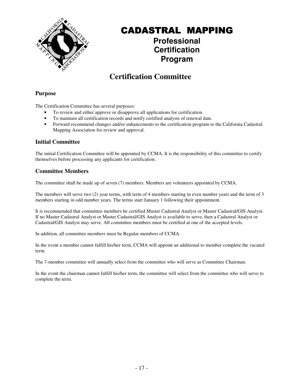

### **Professional Certification Program**

### **Certification Committee**

### **Purpose**

The Certification Committee has several purposes:

- To review and either approve or disapprove all applications for certification.
- To maintain all certification records and notify certified analysts of renewal date.
- Forward recommend changes and/or enhancements to the certification program to the California Cadastral Mapping Association for review and approval.

### **Initial Committee**

The initial Certification Committee will be appointed by CCMA. It is the responsibility of this committee to certify themselves before processing any applicants for certification.

### **Committee Members**

The committee shall be made up of seven (7) members. Members are volunteers appointed by CCMA.

The members will serve two (2) year terms, with term of 4 members starting in even number years and the term of 3 members starting in odd number years. The terms start January 1 following their appointment.

It is recommended that committee members be certified Master Cadastral Analyst or Master Cadastral/GIS Analyst. If no Master Cadastral Analyst or Master Cadastral/GIS Analyst is available to serve, then a Cadastral Analyst or Cadastral/GIS Analyst may serve. All committee members must be certified at one of the accepted levels.

In addition, all committee members must be Regular members of CCMA.

In the event a member cannot fulfill his/her term, CCMA will appoint an additional to member complete the vacated term.

The 7-member committee will annually select from the committee who will serve as Committee Chairman.

In the event the chairman cannot fulfill his/her term, the committee will select from the committee who will serve to complete the term.